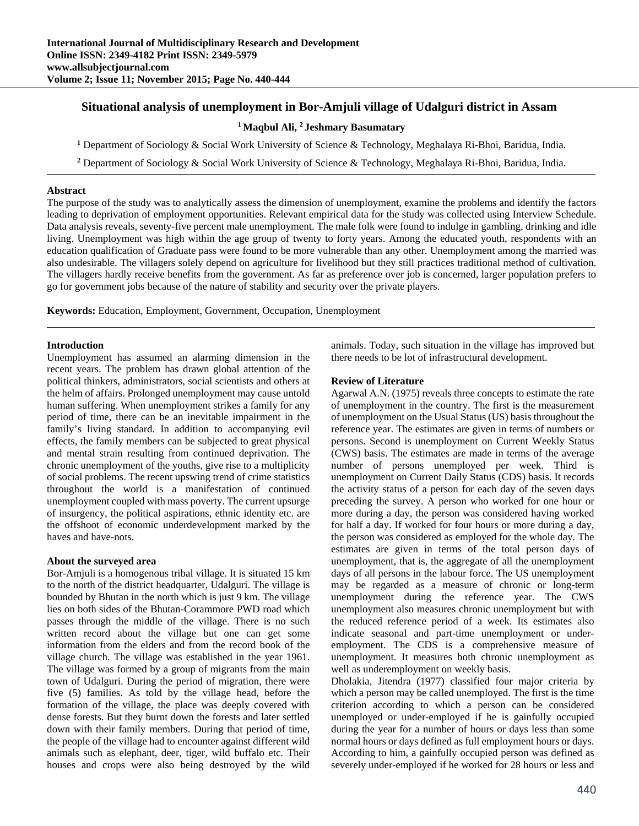# **Situational analysis of unemployment in Bor-Amjuli village of Udalguri district in Assam**

**1 Maqbul Ali, 2 Jeshmary Basumatary** 

**1** Department of Sociology & Social Work University of Science & Technology, Meghalaya Ri-Bhoi, Baridua, India.

**2** Department of Sociology & Social Work University of Science & Technology, Meghalaya Ri-Bhoi, Baridua, India.

### **Abstract**

The purpose of the study was to analytically assess the dimension of unemployment, examine the problems and identify the factors leading to deprivation of employment opportunities. Relevant empirical data for the study was collected using Interview Schedule. Data analysis reveals, seventy-five percent male unemployment. The male folk were found to indulge in gambling, drinking and idle living. Unemployment was high within the age group of twenty to forty years. Among the educated youth, respondents with an education qualification of Graduate pass were found to be more vulnerable than any other. Unemployment among the married was also undesirable. The villagers solely depend on agriculture for livelihood but they still practices traditional method of cultivation. The villagers hardly receive benefits from the government. As far as preference over job is concerned, larger population prefers to go for government jobs because of the nature of stability and security over the private players.

**Keywords:** Education, Employment, Government, Occupation, Unemployment

## **Introduction**

Unemployment has assumed an alarming dimension in the recent years. The problem has drawn global attention of the political thinkers, administrators, social scientists and others at the helm of affairs. Prolonged unemployment may cause untold human suffering. When unemployment strikes a family for any period of time, there can be an inevitable impairment in the family's living standard. In addition to accompanying evil effects, the family members can be subjected to great physical and mental strain resulting from continued deprivation. The chronic unemployment of the youths, give rise to a multiplicity of social problems. The recent upswing trend of crime statistics throughout the world is a manifestation of continued unemployment coupled with mass poverty. The current upsurge of insurgency, the political aspirations, ethnic identity etc. are the offshoot of economic underdevelopment marked by the haves and have-nots.

### **About the surveyed area**

Bor-Amjuli is a homogenous tribal village. It is situated 15 km to the north of the district headquarter, Udalguri. The village is bounded by Bhutan in the north which is just 9 km. The village lies on both sides of the Bhutan-Corammore PWD road which passes through the middle of the village. There is no such written record about the village but one can get some information from the elders and from the record book of the village church. The village was established in the year 1961. The village was formed by a group of migrants from the main town of Udalguri. During the period of migration, there were five (5) families. As told by the village head, before the formation of the village, the place was deeply covered with dense forests. But they burnt down the forests and later settled down with their family members. During that period of time, the people of the village had to encounter against different wild animals such as elephant, deer, tiger, wild buffalo etc. Their houses and crops were also being destroyed by the wild

animals. Today, such situation in the village has improved but there needs to be lot of infrastructural development.

## **Review of Literature**

Agarwal A.N. (1975) reveals three concepts to estimate the rate of unemployment in the country. The first is the measurement of unemployment on the Usual Status (US) basis throughout the reference year. The estimates are given in terms of numbers or persons. Second is unemployment on Current Weekly Status (CWS) basis. The estimates are made in terms of the average number of persons unemployed per week. Third is unemployment on Current Daily Status (CDS) basis. It records the activity status of a person for each day of the seven days preceding the survey. A person who worked for one hour or more during a day, the person was considered having worked for half a day. If worked for four hours or more during a day, the person was considered as employed for the whole day. The estimates are given in terms of the total person days of unemployment, that is, the aggregate of all the unemployment days of all persons in the labour force. The US unemployment may be regarded as a measure of chronic or long-term unemployment during the reference year. The CWS unemployment also measures chronic unemployment but with the reduced reference period of a week. Its estimates also indicate seasonal and part-time unemployment or underemployment. The CDS is a comprehensive measure of unemployment. It measures both chronic unemployment as well as underemployment on weekly basis.

Dholakia, Jitendra (1977) classified four major criteria by which a person may be called unemployed. The first is the time criterion according to which a person can be considered unemployed or under-employed if he is gainfully occupied during the year for a number of hours or days less than some normal hours or days defined as full employment hours or days. According to him, a gainfully occupied person was defined as severely under-employed if he worked for 28 hours or less and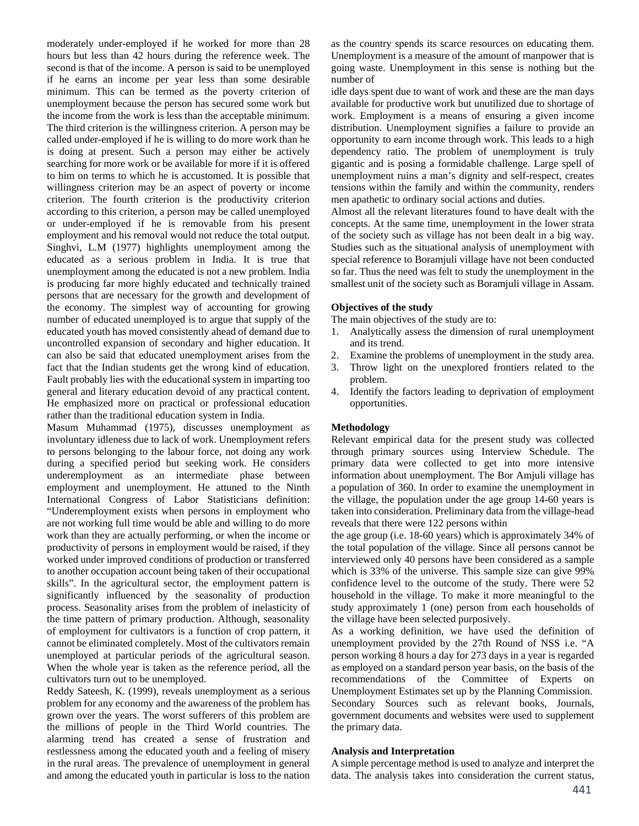moderately under-employed if he worked for more than 28 hours but less than 42 hours during the reference week. The second is that of the income. A person is said to be unemployed if he earns an income per year less than some desirable minimum. This can be termed as the poverty criterion of unemployment because the person has secured some work but the income from the work is less than the acceptable minimum. The third criterion is the willingness criterion. A person may be called under-employed if he is willing to do more work than he is doing at present. Such a person may either be actively searching for more work or be available for more if it is offered to him on terms to which he is accustomed. It is possible that willingness criterion may be an aspect of poverty or income criterion. The fourth criterion is the productivity criterion according to this criterion, a person may be called unemployed or under-employed if he is removable from his present employment and his removal would not reduce the total output. Singhvi, L.M (1977) highlights unemployment among the educated as a serious problem in India. It is true that unemployment among the educated is not a new problem. India is producing far more highly educated and technically trained persons that are necessary for the growth and development of the economy. The simplest way of accounting for growing number of educated unemployed is to argue that supply of the educated youth has moved consistently ahead of demand due to uncontrolled expansion of secondary and higher education. It can also be said that educated unemployment arises from the fact that the Indian students get the wrong kind of education. Fault probably lies with the educational system in imparting too general and literary education devoid of any practical content. He emphasized more on practical or professional education rather than the traditional education system in India.

Masum Muhammad (1975), discusses unemployment as involuntary idleness due to lack of work. Unemployment refers to persons belonging to the labour force, not doing any work during a specified period but seeking work. He considers underemployment as an intermediate phase between employment and unemployment. He attuned to the Ninth International Congress of Labor Statisticians definition: "Underemployment exists when persons in employment who are not working full time would be able and willing to do more work than they are actually performing, or when the income or productivity of persons in employment would be raised, if they worked under improved conditions of production or transferred to another occupation account being taken of their occupational skills". In the agricultural sector, the employment pattern is significantly influenced by the seasonality of production process. Seasonality arises from the problem of inelasticity of the time pattern of primary production. Although, seasonality of employment for cultivators is a function of crop pattern, it cannot be eliminated completely. Most of the cultivators remain unemployed at particular periods of the agricultural season. When the whole year is taken as the reference period, all the cultivators turn out to be unemployed.

Reddy Sateesh, K. (1999), reveals unemployment as a serious problem for any economy and the awareness of the problem has grown over the years. The worst sufferers of this problem are the millions of people in the Third World countries. The alarming trend has created a sense of frustration and restlessness among the educated youth and a feeling of misery in the rural areas. The prevalence of unemployment in general and among the educated youth in particular is loss to the nation

as the country spends its scarce resources on educating them. Unemployment is a measure of the amount of manpower that is going waste. Unemployment in this sense is nothing but the number of

idle days spent due to want of work and these are the man days available for productive work but unutilized due to shortage of work. Employment is a means of ensuring a given income distribution. Unemployment signifies a failure to provide an opportunity to earn income through work. This leads to a high dependency ratio. The problem of unemployment is truly gigantic and is posing a formidable challenge. Large spell of unemployment ruins a man's dignity and self-respect, creates tensions within the family and within the community, renders men apathetic to ordinary social actions and duties.

Almost all the relevant literatures found to have dealt with the concepts. At the same time, unemployment in the lower strata of the society such as village has not been dealt in a big way. Studies such as the situational analysis of unemployment with special reference to Boramjuli village have not been conducted so far. Thus the need was felt to study the unemployment in the smallest unit of the society such as Boramjuli village in Assam.

### **Objectives of the study**

The main objectives of the study are to:

- 1. Analytically assess the dimension of rural unemployment and its trend.
- 2. Examine the problems of unemployment in the study area.
- 3. Throw light on the unexplored frontiers related to the problem.
- 4. Identify the factors leading to deprivation of employment opportunities.

### **Methodology**

Relevant empirical data for the present study was collected through primary sources using Interview Schedule. The primary data were collected to get into more intensive information about unemployment. The Bor Amjuli village has a population of 360. In order to examine the unemployment in the village, the population under the age group 14-60 years is taken into consideration. Preliminary data from the village-head reveals that there were 122 persons within

the age group (i.e. 18-60 years) which is approximately 34% of the total population of the village. Since all persons cannot be interviewed only 40 persons have been considered as a sample which is 33% of the universe. This sample size can give 99% confidence level to the outcome of the study. There were 52 household in the village. To make it more meaningful to the study approximately 1 (one) person from each households of the village have been selected purposively.

As a working definition, we have used the definition of unemployment provided by the 27th Round of NSS i.e. "A person working 8 hours a day for 273 days in a year is regarded as employed on a standard person year basis, on the basis of the recommendations of the Committee of Experts on Unemployment Estimates set up by the Planning Commission. Secondary Sources such as relevant books, Journals, government documents and websites were used to supplement the primary data.

## **Analysis and Interpretation**

A simple percentage method is used to analyze and interpret the data. The analysis takes into consideration the current status,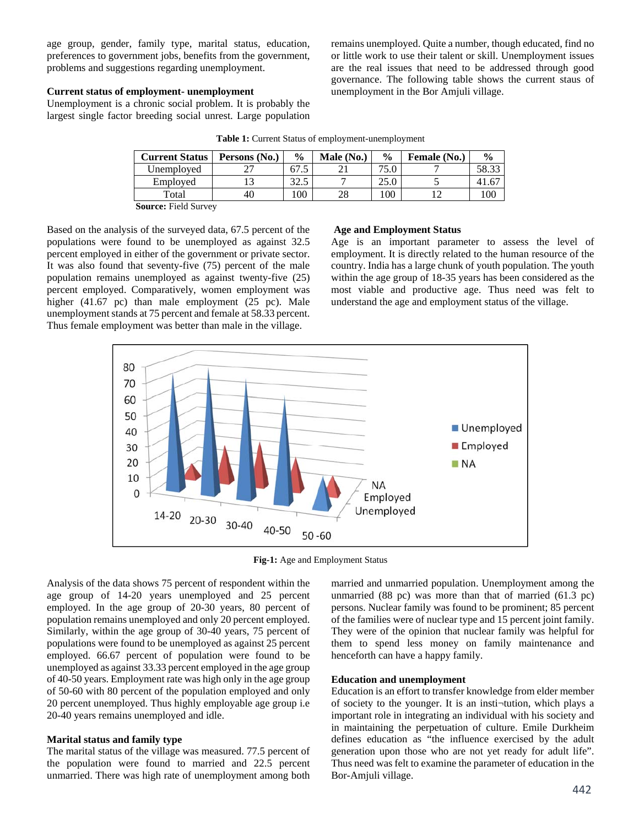age group, gender, family type, marital status, education, preferences to government jobs, benefits from the government, problems and suggestions regarding unemployment.

## **Current status of employment- unemployment**

Unemployment is a chronic social problem. It is probably the largest single factor breeding social unrest. Large population

| <b>Current Status</b> | Persons (No.) | $\frac{6}{9}$ | Male (No.) | $\frac{0}{0}$ | Female (No.) | $\frac{6}{9}$ |
|-----------------------|---------------|---------------|------------|---------------|--------------|---------------|
| Unemployed            |               | 67.5          |            | 75.0          |              | 58.33         |
| Employed              |               |               |            | 25.0          |              |               |
| Total                 | 40            | 100           | 28         | 100           |              | 100           |
| Course Field Curvey   |               |               |            |               |              |               |

**Table 1:** Current Status of employment-unemployment

**Source:** Field Survey

Based on the analysis of the surveyed data, 67.5 percent of the populations were found to be unemployed as against 32.5 percent employed in either of the government or private sector. It was also found that seventy-five (75) percent of the male population remains unemployed as against twenty-five (25) percent employed. Comparatively, women employment was higher (41.67 pc) than male employment (25 pc). Male unemployment stands at 75 percent and female at 58.33 percent. Thus female employment was better than male in the village.

#### **Age and Employment Status**

unemployment in the Bor Amjuli village.

Age is an important parameter to assess the level of employment. It is directly related to the human resource of the country. India has a large chunk of youth population. The youth within the age group of 18-35 years has been considered as the most viable and productive age. Thus need was felt to understand the age and employment status of the village.

remains unemployed. Quite a number, though educated, find no or little work to use their talent or skill. Unemployment issues are the real issues that need to be addressed through good governance. The following table shows the current staus of



**Fig-1:** Age and Employment Status

Analysis of the data shows 75 percent of respondent within the age group of 14-20 years unemployed and 25 percent employed. In the age group of 20-30 years, 80 percent of population remains unemployed and only 20 percent employed. Similarly, within the age group of 30-40 years, 75 percent of populations were found to be unemployed as against 25 percent employed. 66.67 percent of population were found to be unemployed as against 33.33 percent employed in the age group of 40-50 years. Employment rate was high only in the age group of 50-60 with 80 percent of the population employed and only 20 percent unemployed. Thus highly employable age group i.e 20-40 years remains unemployed and idle.

## **Marital status and family type**

The marital status of the village was measured. 77.5 percent of the population were found to married and 22.5 percent unmarried. There was high rate of unemployment among both

married and unmarried population. Unemployment among the unmarried (88 pc) was more than that of married (61.3 pc) persons. Nuclear family was found to be prominent; 85 percent of the families were of nuclear type and 15 percent joint family. They were of the opinion that nuclear family was helpful for them to spend less money on family maintenance and henceforth can have a happy family.

#### **Education and unemployment**

Education is an effort to transfer knowledge from elder member of society to the younger. It is an insti¬tution, which plays a important role in integrating an individual with his society and in maintaining the perpetuation of culture. Emile Durkheim defines education as "the influence exercised by the adult generation upon those who are not yet ready for adult life". Thus need was felt to examine the parameter of education in the Bor-Amjuli village.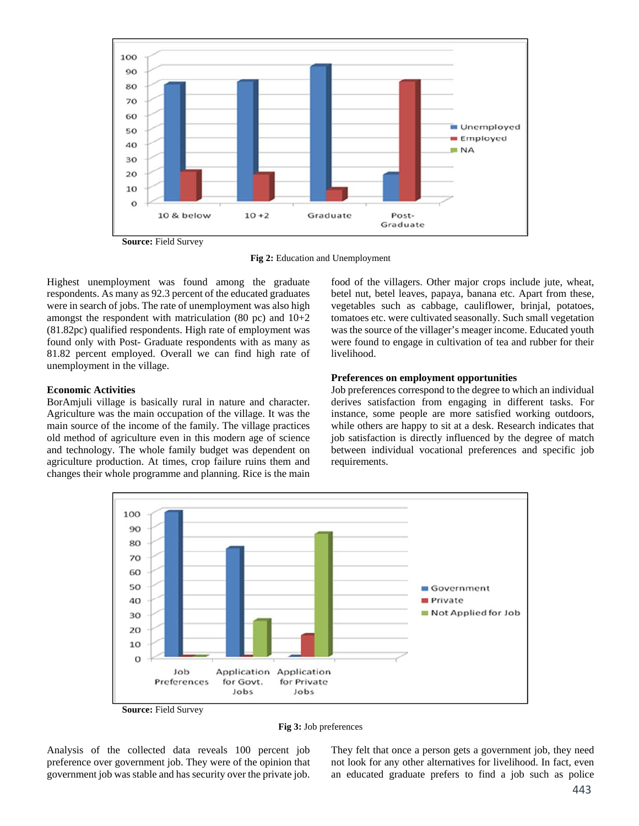

**Fig 2:** Education and Unemployment

Highest unemployment was found among the graduate respondents. As many as 92.3 percent of the educated graduates were in search of jobs. The rate of unemployment was also high amongst the respondent with matriculation (80 pc) and  $10+2$ (81.82pc) qualified respondents. High rate of employment was found only with Post- Graduate respondents with as many as 81.82 percent employed. Overall we can find high rate of unemployment in the village.

#### **Economic Activities**

BorAmjuli village is basically rural in nature and character. Agriculture was the main occupation of the village. It was the main source of the income of the family. The village practices old method of agriculture even in this modern age of science and technology. The whole family budget was dependent on agriculture production. At times, crop failure ruins them and changes their whole programme and planning. Rice is the main

food of the villagers. Other major crops include jute, wheat, betel nut, betel leaves, papaya, banana etc. Apart from these, vegetables such as cabbage, cauliflower, brinjal, potatoes, tomatoes etc. were cultivated seasonally. Such small vegetation was the source of the villager's meager income. Educated youth were found to engage in cultivation of tea and rubber for their livelihood.

# **Preferences on employment opportunities**

Job preferences correspond to the degree to which an individual derives satisfaction from engaging in different tasks. For instance, some people are more satisfied working outdoors, while others are happy to sit at a desk. Research indicates that job satisfaction is directly influenced by the degree of match between individual vocational preferences and specific job requirements.



**Fig 3:** Job preferences

Analysis of the collected data reveals 100 percent job preference over government job. They were of the opinion that government job was stable and has security over the private job.

They felt that once a person gets a government job, they need not look for any other alternatives for livelihood. In fact, even an educated graduate prefers to find a job such as police